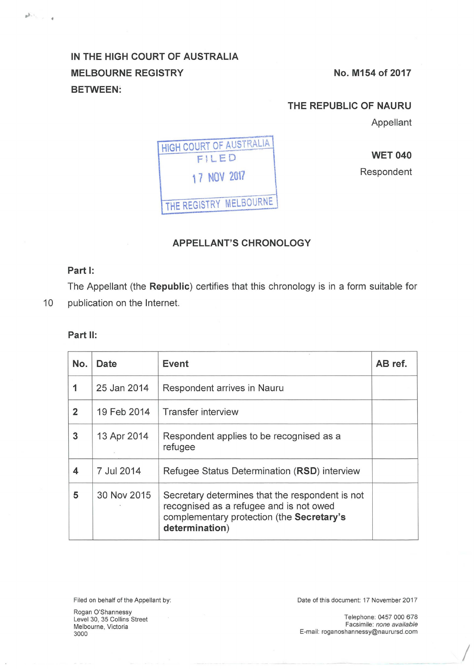# **IN THE HIGH COURT OF AUSTRALIA**  MELBOURNE REGISTRY No. M154 of 2017 **BETWEEN:**

### **THE REPUBLIC OF NAURU**

Appellant



**WET 040** 

Respondent

## **APPELLANT'S CHRONOLOGY**

### **Part 1:**

 $\mathbb{R}^{N-1}$  ,  $\ldots$  ,  $\mathbb{R}$ 

The Appellant (the **Republic)** certifies that this chronology is in a form suitable for 10 publication on the Internet.

#### **Part 11:**

| No.            | Date        | Event                                                                                                                                                     | AB ref. |
|----------------|-------------|-----------------------------------------------------------------------------------------------------------------------------------------------------------|---------|
| 1              | 25 Jan 2014 | Respondent arrives in Nauru                                                                                                                               |         |
| $\overline{2}$ | 19 Feb 2014 | <b>Transfer interview</b>                                                                                                                                 |         |
| 3              | 13 Apr 2014 | Respondent applies to be recognised as a<br>refugee                                                                                                       |         |
| 4              | 7 Jul 2014  | Refugee Status Determination (RSD) interview                                                                                                              |         |
| 5              | 30 Nov 2015 | Secretary determines that the respondent is not<br>recognised as a refugee and is not owed<br>complementary protection (the Secretary's<br>determination) |         |

Rogan O'Shannessy Level 30, 35 Collins Street Melbourne, Victoria 3000

Filed on behalf of the Appellant by: Date of this document: 17 November 2017

Telephone: 0457 000 678 Facsimile: none available E-mail: roganoshannessy@naurursd.com

 $\sqrt{2}$